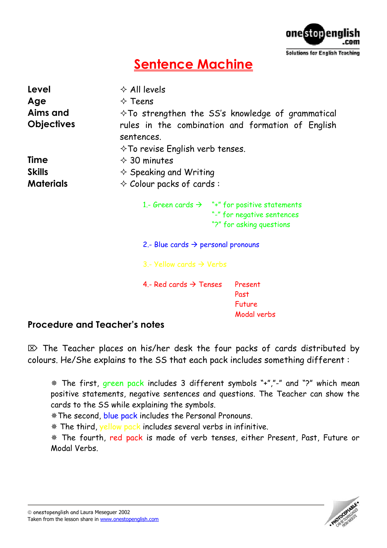

## **Sentence Machine**

| Level<br>Age<br>Aims and<br><b>Objectives</b> | $\Diamond$ All levels<br>$\diamond$ Teens<br>$\Diamond$ To strengthen the SS's knowledge of grammatical<br>rules in the combination and formation of English<br>sentences. |
|-----------------------------------------------|----------------------------------------------------------------------------------------------------------------------------------------------------------------------------|
| <b>Time</b>                                   | $\diamond$ To revise English verb tenses.<br>$\div$ 30 minutes                                                                                                             |
| <b>Skills</b>                                 |                                                                                                                                                                            |
|                                               | $\diamond$ Speaking and Writing                                                                                                                                            |
| <b>Materials</b>                              | $\diamond$ Colour packs of cards:                                                                                                                                          |
|                                               | 1.- Green cards $\rightarrow$ "+" for positive statements<br>"-" for negative sentences<br>"?" for asking questions                                                        |
|                                               | 2.- Blue cards $\rightarrow$ personal pronouns                                                                                                                             |
|                                               | 3.- Yellow cards $\rightarrow$ Verbs                                                                                                                                       |
|                                               | 4 - Red cards $\rightarrow$ Tenses<br>Present<br>Past<br>Future<br>Modal verbs                                                                                             |

## **Procedure and Teacher's notes**

 $\mathbb{Z}$  The Teacher places on his/her desk the four packs of cards distributed by colours. He/She explains to the SS that each pack includes something different :

 The first, green pack includes 3 different symbols "+","-" and "?" which mean positive statements, negative sentences and questions. The Teacher can show the cards to the SS while explaining the symbols.

\* The second, blue pack includes the Personal Pronouns.

\* The third, yellow pack includes several verbs in infinitive.

 The fourth, red pack is made of verb tenses, either Present, Past, Future or Modal Verbs.